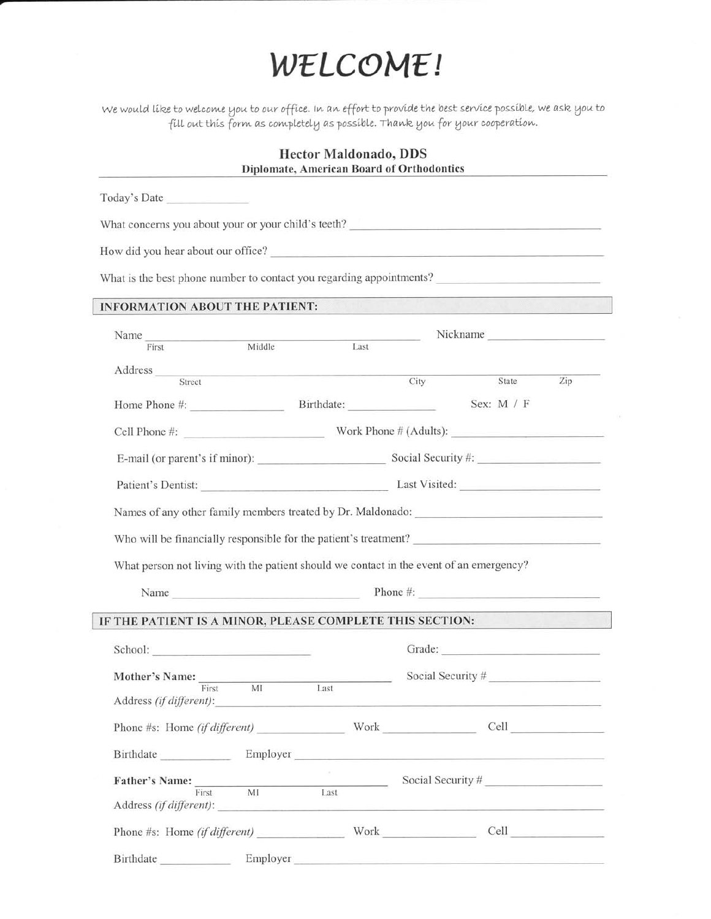# WELCOME!

We would like to welcome you to our office. In an effort to provide the best service possible, we ask you to<br>fill out this form as completely as possible. Thank you for your cooperation.

## **Hector Maldonado, DDS** Diplomate, American Board of Orthodontics

|                                                                                         | Today's Date |                                                                                                                      |                                                                                            |                                                |     |  |  |  |
|-----------------------------------------------------------------------------------------|--------------|----------------------------------------------------------------------------------------------------------------------|--------------------------------------------------------------------------------------------|------------------------------------------------|-----|--|--|--|
| What concerns you about your or your child's teeth?                                     |              |                                                                                                                      |                                                                                            |                                                |     |  |  |  |
| How did you hear about our office?                                                      |              |                                                                                                                      |                                                                                            |                                                |     |  |  |  |
| What is the best phone number to contact you regarding appointments?                    |              |                                                                                                                      |                                                                                            |                                                |     |  |  |  |
| <b>INFORMATION ABOUT THE PATIENT:</b>                                                   |              |                                                                                                                      |                                                                                            |                                                |     |  |  |  |
|                                                                                         |              |                                                                                                                      |                                                                                            |                                                |     |  |  |  |
| Name<br>First                                                                           |              | Middle <b>Middle</b>                                                                                                 | $\begin{tabular}{ c c } \hline \multicolumn{1}{ c }{\textbf{Last}}\\ \hline \end{tabular}$ | Nickname                                       |     |  |  |  |
| Address                                                                                 |              | <u> 1989 - Johann John Stein, markin fan de Amerikaansk kommunister oan de Fryske kommunent fan de Fryske kommun</u> |                                                                                            |                                                |     |  |  |  |
| Street                                                                                  |              |                                                                                                                      | City                                                                                       | State                                          | Zip |  |  |  |
|                                                                                         |              |                                                                                                                      |                                                                                            | Sex: M / F                                     |     |  |  |  |
|                                                                                         |              |                                                                                                                      |                                                                                            | Cell Phone #: Work Phone # (Adults):           |     |  |  |  |
|                                                                                         |              |                                                                                                                      | E-mail (or parent's if minor): Social Security #:                                          |                                                |     |  |  |  |
|                                                                                         |              |                                                                                                                      |                                                                                            | Patient's Dentist: Last Visited: Last Visited: |     |  |  |  |
| Names of any other family members treated by Dr. Maldonado:                             |              |                                                                                                                      |                                                                                            |                                                |     |  |  |  |
|                                                                                         |              |                                                                                                                      |                                                                                            |                                                |     |  |  |  |
|                                                                                         |              |                                                                                                                      |                                                                                            |                                                |     |  |  |  |
|                                                                                         |              |                                                                                                                      |                                                                                            |                                                |     |  |  |  |
| What person not living with the patient should we contact in the event of an emergency? |              |                                                                                                                      |                                                                                            |                                                |     |  |  |  |
|                                                                                         |              |                                                                                                                      |                                                                                            | Name Phone #:                                  |     |  |  |  |
|                                                                                         |              |                                                                                                                      |                                                                                            |                                                |     |  |  |  |
|                                                                                         |              |                                                                                                                      |                                                                                            |                                                |     |  |  |  |
|                                                                                         |              |                                                                                                                      |                                                                                            |                                                |     |  |  |  |
| Mother's Name: First                                                                    | MI           | Last                                                                                                                 |                                                                                            | Social Security #                              |     |  |  |  |
| Address (if different):                                                                 |              |                                                                                                                      |                                                                                            |                                                |     |  |  |  |
|                                                                                         |              |                                                                                                                      |                                                                                            | Phone #s: Home (if different) Work Cell Cell   |     |  |  |  |
|                                                                                         |              | The Control                                                                                                          |                                                                                            | Birthdate Employer                             |     |  |  |  |
|                                                                                         |              |                                                                                                                      |                                                                                            | Social Security #                              |     |  |  |  |
| Father's Name: First MI Last                                                            |              |                                                                                                                      |                                                                                            | Address (if different):                        |     |  |  |  |
| IF THE PATIENT IS A MINOR, PLEASE COMPLETE THIS SECTION:                                |              |                                                                                                                      |                                                                                            | Phone #s: Home (if different) Work Cell        |     |  |  |  |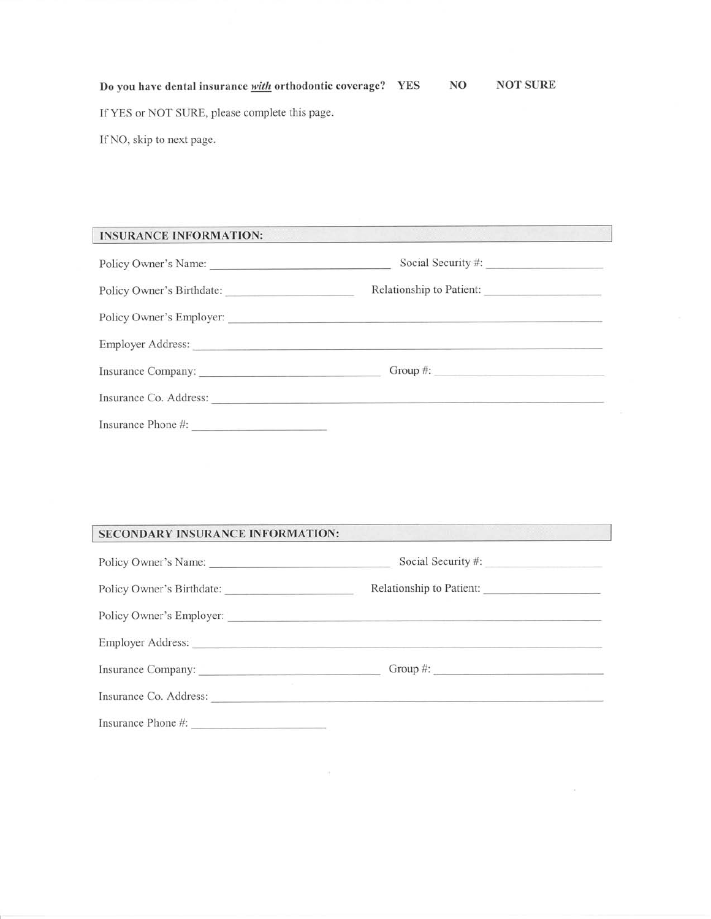Do you have dental insurance with orthodontic coverage? YES If YES or NOT SURE, please complete this page. If NO, skip to next page. NO NOT SURE

**INSURANCE INFORMATION:** 

| Policy Owner's Name:                                                      | Social Security #:                                                                                                                                                                                                             |  |  |  |
|---------------------------------------------------------------------------|--------------------------------------------------------------------------------------------------------------------------------------------------------------------------------------------------------------------------------|--|--|--|
| Policy Owner's Birthdate:                                                 | Relationship to Patient:                                                                                                                                                                                                       |  |  |  |
|                                                                           |                                                                                                                                                                                                                                |  |  |  |
|                                                                           | Employer Address: No. 2016. The Contract of the Contract of the Contract of the Contract of the Contract of the Contract of the Contract of the Contract of the Contract of the Contract of the Contract of the Contract of th |  |  |  |
| Insurance Company:                                                        |                                                                                                                                                                                                                                |  |  |  |
| Insurance Co. Address:                                                    |                                                                                                                                                                                                                                |  |  |  |
| Insurance Phone #:<br><u> 1989 - Andrea State Germany, meny politik a</u> |                                                                                                                                                                                                                                |  |  |  |

# SECONDARY INSURANCE INFORMATION:

| Policy Owner's Name:   |                          |  |  |  |  |
|------------------------|--------------------------|--|--|--|--|
|                        | Relationship to Patient: |  |  |  |  |
|                        |                          |  |  |  |  |
|                        |                          |  |  |  |  |
| Insurance Company:     | Group $\#$ :             |  |  |  |  |
| Insurance Co. Address: |                          |  |  |  |  |
| Insurance Phone #:     |                          |  |  |  |  |